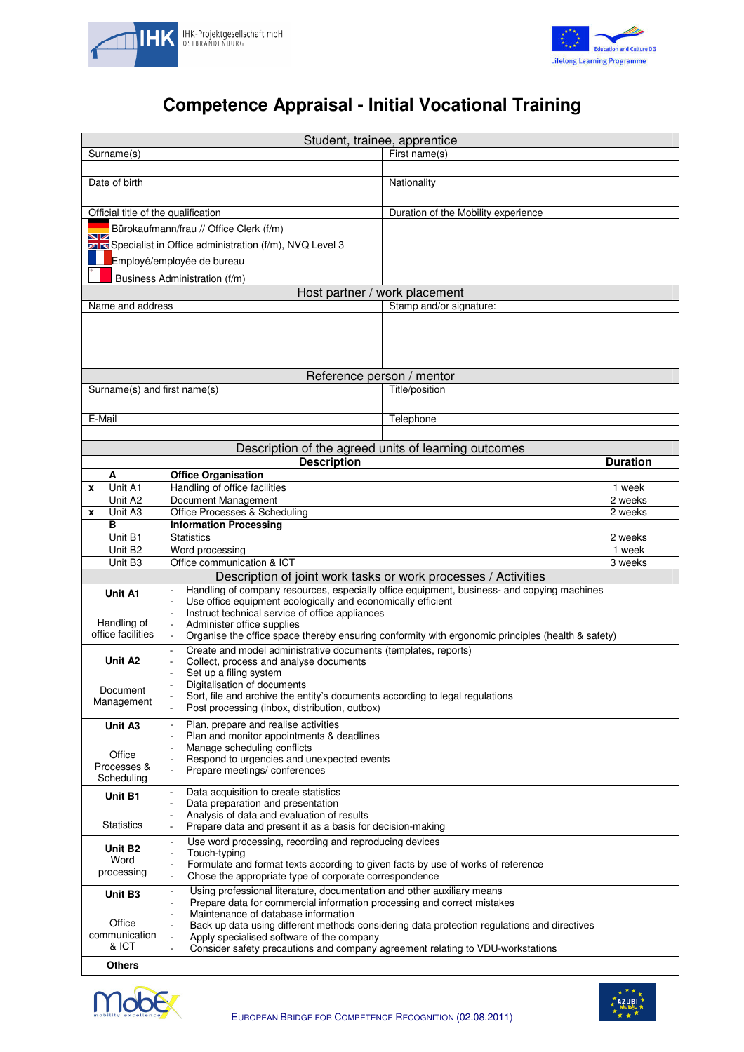



## **Competence Appraisal - Initial Vocational Training**

| Student, trainee, apprentice                                   |                                                                |                                                                                                                                                            |                                                        |                 |  |  |  |  |
|----------------------------------------------------------------|----------------------------------------------------------------|------------------------------------------------------------------------------------------------------------------------------------------------------------|--------------------------------------------------------|-----------------|--|--|--|--|
| First name(s)<br>Surname(s)                                    |                                                                |                                                                                                                                                            |                                                        |                 |  |  |  |  |
|                                                                | Date of birth                                                  |                                                                                                                                                            | Nationality                                            |                 |  |  |  |  |
|                                                                |                                                                |                                                                                                                                                            |                                                        |                 |  |  |  |  |
|                                                                | Official title of the qualification                            |                                                                                                                                                            | Duration of the Mobility experience                    |                 |  |  |  |  |
|                                                                |                                                                | Bürokaufmann/frau // Office Clerk (f/m)                                                                                                                    |                                                        |                 |  |  |  |  |
| w                                                              |                                                                |                                                                                                                                                            |                                                        |                 |  |  |  |  |
|                                                                |                                                                | Specialist in Office administration (f/m), NVQ Level 3                                                                                                     |                                                        |                 |  |  |  |  |
|                                                                |                                                                | Employé/employée de bureau                                                                                                                                 |                                                        |                 |  |  |  |  |
| Business Administration (f/m)<br>Host partner / work placement |                                                                |                                                                                                                                                            |                                                        |                 |  |  |  |  |
|                                                                | Name and address                                               |                                                                                                                                                            | Stamp and/or signature:                                |                 |  |  |  |  |
|                                                                |                                                                |                                                                                                                                                            |                                                        |                 |  |  |  |  |
|                                                                |                                                                |                                                                                                                                                            |                                                        |                 |  |  |  |  |
|                                                                |                                                                |                                                                                                                                                            |                                                        |                 |  |  |  |  |
|                                                                |                                                                |                                                                                                                                                            |                                                        |                 |  |  |  |  |
|                                                                |                                                                |                                                                                                                                                            | Reference person / mentor                              |                 |  |  |  |  |
|                                                                | Surname(s) and first name(s)                                   |                                                                                                                                                            | Title/position                                         |                 |  |  |  |  |
|                                                                |                                                                |                                                                                                                                                            |                                                        |                 |  |  |  |  |
|                                                                | E-Mail                                                         |                                                                                                                                                            | Telephone                                              |                 |  |  |  |  |
|                                                                |                                                                |                                                                                                                                                            | Description of the agreed units of learning outcomes   |                 |  |  |  |  |
|                                                                |                                                                | <b>Description</b>                                                                                                                                         |                                                        | <b>Duration</b> |  |  |  |  |
|                                                                | A                                                              | <b>Office Organisation</b>                                                                                                                                 |                                                        |                 |  |  |  |  |
| x                                                              | Unit A1                                                        | Handling of office facilities                                                                                                                              |                                                        | 1 week          |  |  |  |  |
|                                                                | Unit A2                                                        | Document Management                                                                                                                                        |                                                        | 2 weeks         |  |  |  |  |
| X                                                              | Unit A3<br>в                                                   | Office Processes & Scheduling<br><b>Information Processing</b>                                                                                             |                                                        | 2 weeks         |  |  |  |  |
|                                                                | Unit B1                                                        | <b>Statistics</b>                                                                                                                                          |                                                        | 2 weeks         |  |  |  |  |
|                                                                | Unit B <sub>2</sub>                                            | Word processing                                                                                                                                            | 1 week                                                 |                 |  |  |  |  |
|                                                                | 3 weeks                                                        |                                                                                                                                                            |                                                        |                 |  |  |  |  |
|                                                                | Description of joint work tasks or work processes / Activities |                                                                                                                                                            |                                                        |                 |  |  |  |  |
| Unit A1                                                        |                                                                | Handling of company resources, especially office equipment, business- and copying machines<br>Use office equipment ecologically and economically efficient |                                                        |                 |  |  |  |  |
|                                                                |                                                                | Instruct technical service of office appliances                                                                                                            |                                                        |                 |  |  |  |  |
| Handling of                                                    |                                                                | Administer office supplies                                                                                                                                 |                                                        |                 |  |  |  |  |
| office facilities                                              |                                                                | Organise the office space thereby ensuring conformity with ergonomic principles (health & safety)                                                          |                                                        |                 |  |  |  |  |
| Unit A <sub>2</sub>                                            |                                                                | Create and model administrative documents (templates, reports)<br>Collect, process and analyse documents                                                   |                                                        |                 |  |  |  |  |
|                                                                |                                                                | Set up a filing system                                                                                                                                     |                                                        |                 |  |  |  |  |
| Document                                                       |                                                                | Digitalisation of documents                                                                                                                                |                                                        |                 |  |  |  |  |
| Management                                                     |                                                                | Sort, file and archive the entity's documents according to legal regulations<br>$\overline{\phantom{a}}$<br>Post processing (inbox, distribution, outbox)  |                                                        |                 |  |  |  |  |
| Unit A3                                                        |                                                                | Plan, prepare and realise activities<br>$\blacksquare$                                                                                                     |                                                        |                 |  |  |  |  |
|                                                                |                                                                | Plan and monitor appointments & deadlines                                                                                                                  |                                                        |                 |  |  |  |  |
| Office                                                         |                                                                | Manage scheduling conflicts<br>Respond to urgencies and unexpected events                                                                                  |                                                        |                 |  |  |  |  |
| Processes &                                                    |                                                                | Prepare meetings/conferences<br>÷,                                                                                                                         |                                                        |                 |  |  |  |  |
| Scheduling                                                     |                                                                |                                                                                                                                                            |                                                        |                 |  |  |  |  |
| Unit B1                                                        |                                                                | Data acquisition to create statistics<br>$\overline{\phantom{a}}$<br>Data preparation and presentation                                                     |                                                        |                 |  |  |  |  |
|                                                                |                                                                | Analysis of data and evaluation of results<br>÷,                                                                                                           |                                                        |                 |  |  |  |  |
| <b>Statistics</b>                                              |                                                                | Prepare data and present it as a basis for decision-making<br>$\overline{a}$                                                                               |                                                        |                 |  |  |  |  |
| Unit B <sub>2</sub>                                            |                                                                | Use word processing, recording and reproducing devices                                                                                                     |                                                        |                 |  |  |  |  |
| Word                                                           |                                                                | Touch-typing<br>$\overline{a}$<br>Formulate and format texts according to given facts by use of works of reference                                         |                                                        |                 |  |  |  |  |
|                                                                | processing                                                     | ÷,                                                                                                                                                         | Chose the appropriate type of corporate correspondence |                 |  |  |  |  |
| Unit B3                                                        |                                                                | Using professional literature, documentation and other auxiliary means<br>$\blacksquare$                                                                   |                                                        |                 |  |  |  |  |
|                                                                |                                                                | Prepare data for commercial information processing and correct mistakes<br>$\overline{a}$                                                                  |                                                        |                 |  |  |  |  |
|                                                                | Office                                                         | Maintenance of database information<br>Back up data using different methods considering data protection regulations and directives                         |                                                        |                 |  |  |  |  |
| communication                                                  |                                                                | Apply specialised software of the company                                                                                                                  |                                                        |                 |  |  |  |  |
| & ICT                                                          |                                                                | Consider safety precautions and company agreement relating to VDU-workstations                                                                             |                                                        |                 |  |  |  |  |
|                                                                | Others                                                         |                                                                                                                                                            |                                                        |                 |  |  |  |  |